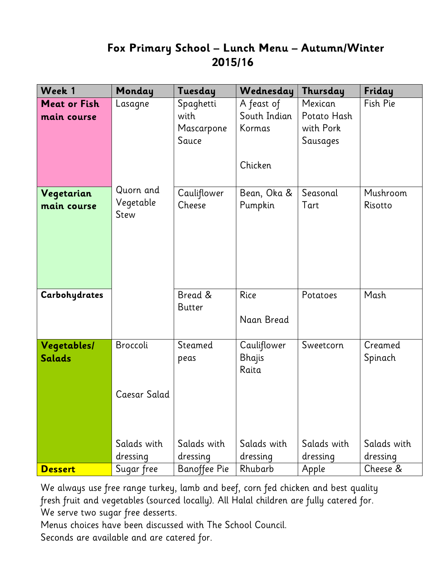## **Fox Primary School – Lunch Menu – Autumn/Winter 2015/16**

| Week 1              | Monday       | Tuesday       | Wednesday    | Thursday    | Friday      |
|---------------------|--------------|---------------|--------------|-------------|-------------|
| <b>Meat or Fish</b> | Lasagne      | Spaghetti     | A feast of   | Mexican     | Fish Pie    |
| main course         |              | with          | South Indian | Potato Hash |             |
|                     |              | Mascarpone    | Kormas       | with Pork   |             |
|                     |              | Sauce         |              | Sausages    |             |
|                     |              |               |              |             |             |
|                     |              |               | Chicken      |             |             |
|                     |              |               |              |             |             |
| Vegetarian          | Quorn and    | Cauliflower   | Bean, Oka &  | Seasonal    | Mushroom    |
| main course         | Vegetable    | Cheese        | Pumpkin      | Tart        | Risotto     |
|                     | Stew         |               |              |             |             |
|                     |              |               |              |             |             |
|                     |              |               |              |             |             |
|                     |              |               |              |             |             |
|                     |              |               |              |             |             |
|                     |              |               |              |             |             |
| Carbohydrates       |              | Bread &       | Rice         | Potatoes    | Mash        |
|                     |              | <b>Butter</b> |              |             |             |
|                     |              |               | Naan Bread   |             |             |
|                     |              |               |              |             |             |
| Vegetables/         | Broccoli     | Steamed       | Cauliflower  | Sweetcorn   | Creamed     |
| <b>Salads</b>       |              | peas          | Bhajis       |             | Spinach     |
|                     |              |               | Raita        |             |             |
|                     |              |               |              |             |             |
|                     | Caesar Salad |               |              |             |             |
|                     |              |               |              |             |             |
|                     |              |               |              |             |             |
|                     | Salads with  | Salads with   | Salads with  | Salads with | Salads with |
|                     | dressing     | dressing      | dressing     | dressing    | dressing    |
| <b>Dessert</b>      | Sugar free   | Banoffee Pie  | Rhubarb      | Apple       | Cheese &    |
|                     |              |               |              |             |             |

We always use free range turkey, lamb and beef, corn fed chicken and best quality fresh fruit and vegetables (sourced locally). All Halal children are fully catered for. We serve two sugar free desserts.

Menus choices have been discussed with The School Council.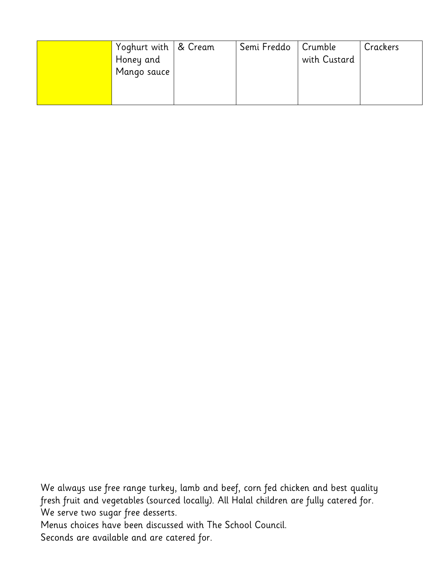| Yoghurt with   & Cream<br>Honey and<br>Mango sauce | Semi Freddo   Crumble | with Custard | Crackers |
|----------------------------------------------------|-----------------------|--------------|----------|
|                                                    |                       |              |          |

We always use free range turkey, lamb and beef, corn fed chicken and best quality fresh fruit and vegetables (sourced locally). All Halal children are fully catered for. We serve two sugar free desserts.

Menus choices have been discussed with The School Council.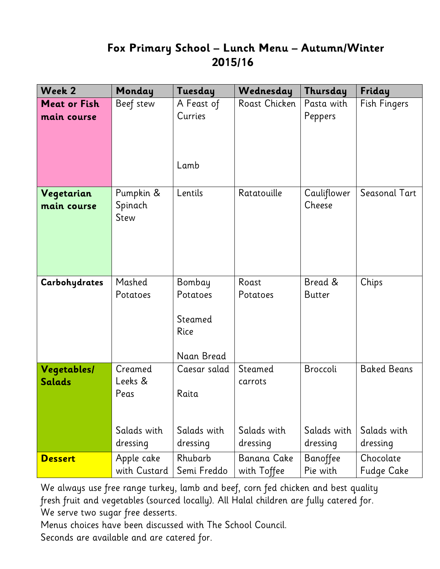## **Fox Primary School – Lunch Menu – Autumn/Winter 2015/16**

| Week 2              | Monday       | Tuesday      | Wednesday     | Thursday      | Friday              |
|---------------------|--------------|--------------|---------------|---------------|---------------------|
| <b>Meat or Fish</b> | Beef stew    | A Feast of   | Roast Chicken | Pasta with    | <b>Fish Fingers</b> |
| main course         |              | Curries      |               | Peppers       |                     |
|                     |              |              |               |               |                     |
|                     |              |              |               |               |                     |
|                     |              |              |               |               |                     |
|                     |              | Lamb         |               |               |                     |
|                     |              |              |               |               |                     |
| Vegetarian          | Pumpkin &    | Lentils      | Ratatouille   | Cauliflower   | Seasonal Tart       |
| main course         | Spinach      |              |               | Cheese        |                     |
|                     | Stew         |              |               |               |                     |
|                     |              |              |               |               |                     |
|                     |              |              |               |               |                     |
|                     |              |              |               |               |                     |
|                     |              |              |               |               |                     |
| Carbohydrates       | Mashed       | Bombay       | Roast         | Bread &       | Chips               |
|                     | Potatoes     | Potatoes     | Potatoes      | <b>Butter</b> |                     |
|                     |              |              |               |               |                     |
|                     |              | Steamed      |               |               |                     |
|                     |              | Rice         |               |               |                     |
|                     |              | Naan Bread   |               |               |                     |
| Vegetables/         | Creamed      | Caesar salad | Steamed       | Broccoli      | <b>Baked Beans</b>  |
| <b>Salads</b>       | Leeks &      |              | carrots       |               |                     |
|                     | Peas         | Raita        |               |               |                     |
|                     |              |              |               |               |                     |
|                     |              |              |               |               |                     |
|                     | Salads with  | Salads with  | Salads with   | Salads with   | Salads with         |
|                     | dressing     | dressing     | dressing      | dressing      | dressing            |
| <b>Dessert</b>      | Apple cake   | Rhubarb      | Banana Cake   | Banoffee      | Chocolate           |
|                     | with Custard | Semi Freddo  | with Toffee   | Pie with      | Fudge Cake          |

We always use free range turkey, lamb and beef, corn fed chicken and best quality fresh fruit and vegetables (sourced locally). All Halal children are fully catered for. We serve two sugar free desserts.

Menus choices have been discussed with The School Council.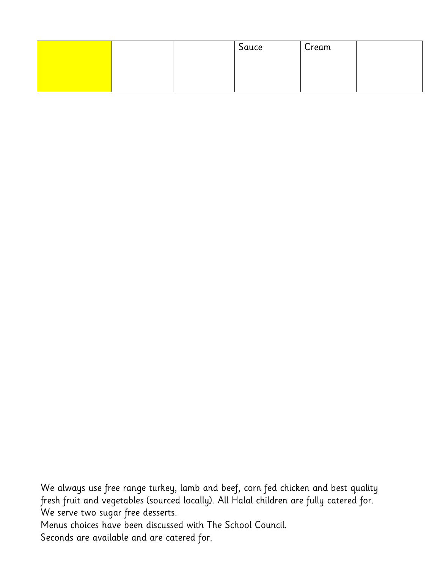|  | Sauce | Cream |  |
|--|-------|-------|--|
|  |       |       |  |
|  |       |       |  |

We always use free range turkey, lamb and beef, corn fed chicken and best quality fresh fruit and vegetables (sourced locally). All Halal children are fully catered for. We serve two sugar free desserts.

Menus choices have been discussed with The School Council.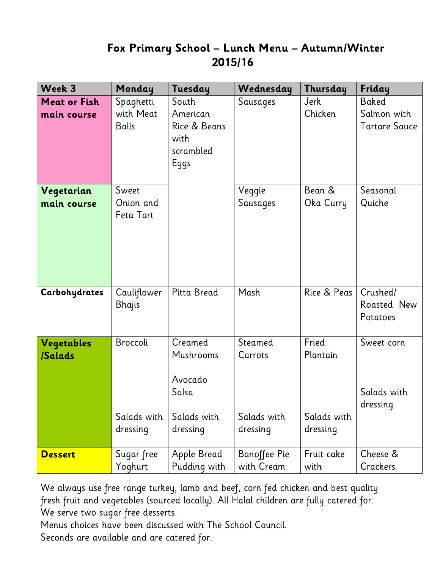## **Fox Primary School – Lunch Menu – Autumn/Winter 2015/16**

| Week 3                             | Monday                 | Tuesday           | Wednesday           | Thursday        | Friday                  |
|------------------------------------|------------------------|-------------------|---------------------|-----------------|-------------------------|
| <b>Meat or Fish</b><br>main course | Spaghetti<br>with Meat | South<br>American | Sausages            | Jerk<br>Chicken | Baked<br>Salmon with    |
|                                    | <b>Balls</b>           | Rice & Beans      |                     |                 | <b>Tartare Sauce</b>    |
|                                    |                        | with              |                     |                 |                         |
|                                    |                        | scrambled         |                     |                 |                         |
|                                    |                        | Eggs              |                     |                 |                         |
| Vegetarian                         | Sweet                  |                   | Veggie              | Bean &          | Seasonal                |
| main course                        | Onion and              |                   | Sausages            | Oka Curry       | Quiche                  |
|                                    | Feta Tart              |                   |                     |                 |                         |
|                                    |                        |                   |                     |                 |                         |
|                                    |                        |                   |                     |                 |                         |
|                                    |                        |                   |                     |                 |                         |
|                                    |                        |                   |                     |                 |                         |
| Carbohydrates                      | Cauliflower            | Pitta Bread       | Mash                | Rice & Peas     | Crushed/                |
|                                    | <b>Bhajis</b>          |                   |                     |                 | Roasted New<br>Potatoes |
|                                    |                        |                   |                     |                 |                         |
| Vegetables                         | Broccoli               | Creamed           | Steamed             | Fried           | Sweet corn              |
| <b>Salads</b>                      |                        | Mushrooms         | Carrots             | Plantain        |                         |
|                                    |                        | Avocado           |                     |                 |                         |
|                                    |                        | Salsa             |                     |                 | Salads with             |
|                                    |                        |                   |                     |                 | dressing                |
|                                    | Salads with            | Salads with       | Salads with         | Salads with     |                         |
|                                    | dressing               | dressing          | dressing            | dressing        |                         |
| <b>Dessert</b>                     | Sugar free             | Apple Bread       | <b>Banoffee Pie</b> | Fruit cake      | Cheese &                |
|                                    | Yoghurt                | Pudding with      | with Cream          | with            | Crackers                |

We always use free range turkey, lamb and beef, corn fed chicken and best quality fresh fruit and vegetables (sourced locally). All Halal children are fully catered for. We serve two sugar free desserts.

Menus choices have been discussed with The School Council.